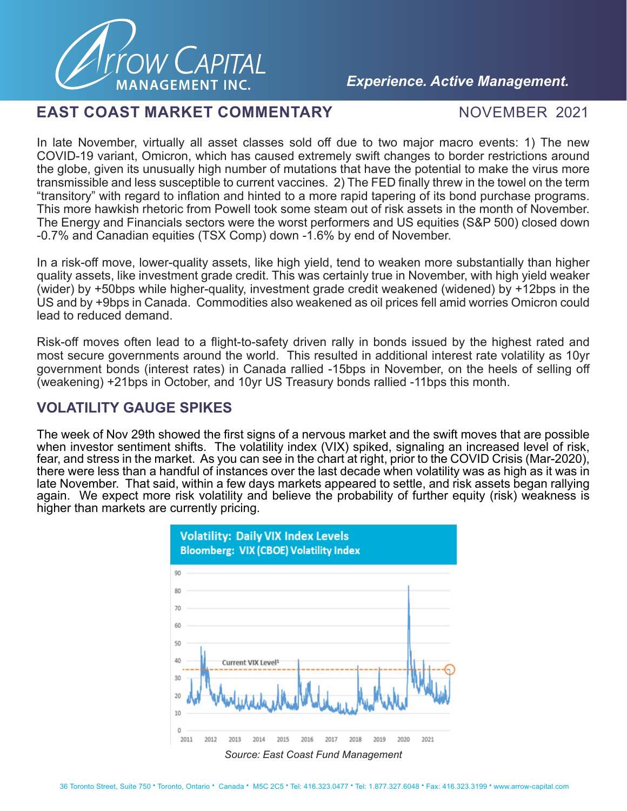

## *Experience. Active Management.*

### **EAST COAST MARKET COMMENTARY MOVEMBER 2021**

In late November, virtually all asset classes sold off due to two major macro events: 1) The new COVID-19 variant, Omicron, which has caused extremely swift changes to border restrictions around the globe, given its unusually high number of mutations that have the potential to make the virus more transmissible and less susceptible to current vaccines. 2) The FED finally threw in the towel on the term "transitory" with regard to inflation and hinted to a more rapid tapering of its bond purchase programs. This more hawkish rhetoric from Powell took some steam out of risk assets in the month of November. The Energy and Financials sectors were the worst performers and US equities (S&P 500) closed down -0.7% and Canadian equities (TSX Comp) down -1.6% by end of November.

In a risk-off move, lower-quality assets, like high yield, tend to weaken more substantially than higher quality assets, like investment grade credit. This was certainly true in November, with high yield weaker (wider) by +50bps while higher-quality, investment grade credit weakened (widened) by +12bps in the US and by +9bps in Canada. Commodities also weakened as oil prices fell amid worries Omicron could lead to reduced demand.

Risk-off moves often lead to a flight-to-safety driven rally in bonds issued by the highest rated and most secure governments around the world. This resulted in additional interest rate volatility as 10yr government bonds (interest rates) in Canada rallied -15bps in November, on the heels of selling off (weakening) +21bps in October, and 10yr US Treasury bonds rallied -11bps this month.

# **VOLATILITY GAUGE SPIKES**

The week of Nov 29th showed the first signs of a nervous market and the swift moves that are possible when investor sentiment shifts. The volatility index (VIX) spiked, signaling an increased level of risk, fear, and stress in the market. As you can see in the chart at right, prior to the COVID Crisis (Mar-2020), there were less than a handful of instances over the last decade when volatility was as high as it was in late November. That said, within a few days markets appeared to settle, and risk assets began rallying again. We expect more risk volatility and believe the probability of further equity (risk) weakness is higher than markets are currently pricing.

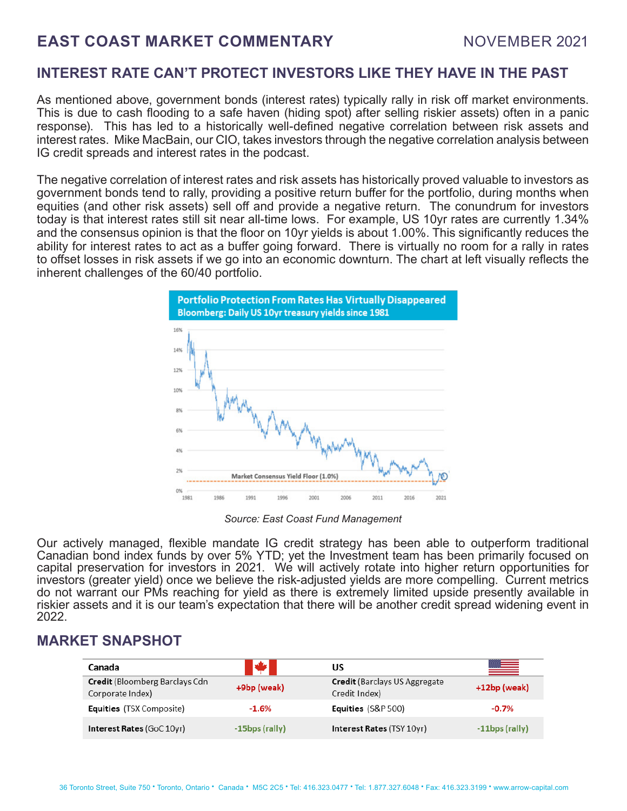# **EAST COAST MARKET COMMENTARY MOVEMBER 2021**

## **INTEREST RATE CAN'T PROTECT INVESTORS LIKE THEY HAVE IN THE PAST**

As mentioned above, government bonds (interest rates) typically rally in risk off market environments. This is due to cash flooding to a safe haven (hiding spot) after selling riskier assets) often in a panic response). This has led to a historically well-defined negative correlation between risk assets and interest rates. Mike MacBain, our CIO, takes investors through the negative correlation analysis between IG credit spreads and interest rates in the podcast.

The negative correlation of interest rates and risk assets has historically proved valuable to investors as government bonds tend to rally, providing a positive return buffer for the portfolio, during months when equities (and other risk assets) sell off and provide a negative return. The conundrum for investors today is that interest rates still sit near all-time lows. For example, US 10yr rates are currently 1.34% and the consensus opinion is that the floor on 10yr yields is about 1.00%. This significantly reduces the ability for interest rates to act as a buffer going forward. There is virtually no room for a rally in rates to offset losses in risk assets if we go into an economic downturn. The chart at left visually reflects the inherent challenges of the 60/40 portfolio.



*Source: East Coast Fund Management*

Our actively managed, flexible mandate IG credit strategy has been able to outperform traditional Canadian bond index funds by over 5% YTD; yet the Investment team has been primarily focused on capital preservation for investors in 2021. We will actively rotate into higher return opportunities for investors (greater yield) once we believe the risk-adjusted yields are more compelling. Current metrics do not warrant our PMs reaching for yield as there is extremely limited upside presently available in riskier assets and it is our team's expectation that there will be another credit spread widening event in 2022.

## **MARKET SNAPSHOT**

| Canada                                                     | W                 | US                                                     | <u>est</u>        |
|------------------------------------------------------------|-------------------|--------------------------------------------------------|-------------------|
| <b>Credit</b> (Bloomberg Barclays Cdn)<br>Corporate Index) | +9bp (weak)       | <b>Credit</b> (Barclays US Aggregate)<br>Credit Index) | $+12bp$ (weak)    |
| <b>Equities</b> (TSX Composite)                            | $-1.6%$           | <b>Equities</b> (S&P 500)                              | $-0.7%$           |
| <b>Interest Rates (GoC 10yr)</b>                           | $-15$ bps (rally) | Interest Rates (TSY 10yr)                              | $-11$ bps (rally) |